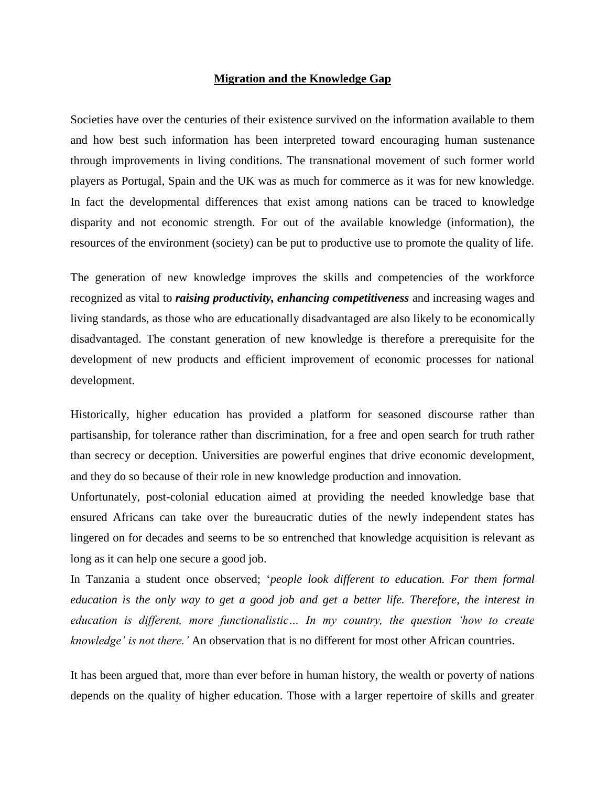## **Migration and the Knowledge Gap**

Societies have over the centuries of their existence survived on the information available to them and how best such information has been interpreted toward encouraging human sustenance through improvements in living conditions. The transnational movement of such former world players as Portugal, Spain and the UK was as much for commerce as it was for new knowledge. In fact the developmental differences that exist among nations can be traced to knowledge disparity and not economic strength. For out of the available knowledge (information), the resources of the environment (society) can be put to productive use to promote the quality of life.

The generation of new knowledge improves the skills and competencies of the workforce recognized as vital to *raising productivity, enhancing competitiveness* and increasing wages and living standards, as those who are educationally disadvantaged are also likely to be economically disadvantaged. The constant generation of new knowledge is therefore a prerequisite for the development of new products and efficient improvement of economic processes for national development.

Historically, higher education has provided a platform for seasoned discourse rather than partisanship, for tolerance rather than discrimination, for a free and open search for truth rather than secrecy or deception. Universities are powerful engines that drive economic development, and they do so because of their role in new knowledge production and innovation.

Unfortunately, post-colonial education aimed at providing the needed knowledge base that ensured Africans can take over the bureaucratic duties of the newly independent states has lingered on for decades and seems to be so entrenched that knowledge acquisition is relevant as long as it can help one secure a good job.

In Tanzania a student once observed; '*people look different to education. For them formal education is the only way to get a good job and get a better life. Therefore, the interest in education is different, more functionalistic… In my country, the question 'how to create knowledge' is not there.'* An observation that is no different for most other African countries.

It has been argued that, more than ever before in human history, the wealth or poverty of nations depends on the quality of higher education. Those with a larger repertoire of skills and greater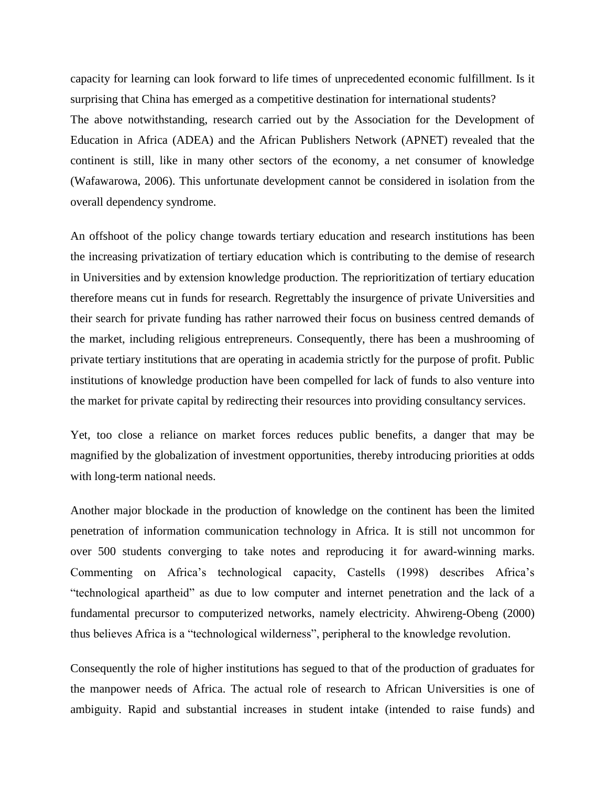capacity for learning can look forward to life times of unprecedented economic fulfillment. Is it surprising that China has emerged as a competitive destination for international students? The above notwithstanding, research carried out by the Association for the Development of Education in Africa (ADEA) and the African Publishers Network (APNET) revealed that the continent is still, like in many other sectors of the economy, a net consumer of knowledge (Wafawarowa, 2006). This unfortunate development cannot be considered in isolation from the overall dependency syndrome.

An offshoot of the policy change towards tertiary education and research institutions has been the increasing privatization of tertiary education which is contributing to the demise of research in Universities and by extension knowledge production. The reprioritization of tertiary education therefore means cut in funds for research. Regrettably the insurgence of private Universities and their search for private funding has rather narrowed their focus on business centred demands of the market, including religious entrepreneurs. Consequently, there has been a mushrooming of private tertiary institutions that are operating in academia strictly for the purpose of profit. Public institutions of knowledge production have been compelled for lack of funds to also venture into the market for private capital by redirecting their resources into providing consultancy services.

Yet, too close a reliance on market forces reduces public benefits, a danger that may be magnified by the globalization of investment opportunities, thereby introducing priorities at odds with long-term national needs.

Another major blockade in the production of knowledge on the continent has been the limited penetration of information communication technology in Africa. It is still not uncommon for over 500 students converging to take notes and reproducing it for award-winning marks. Commenting on Africa's technological capacity, Castells (1998) describes Africa's "technological apartheid" as due to low computer and internet penetration and the lack of a fundamental precursor to computerized networks, namely electricity. Ahwireng-Obeng (2000) thus believes Africa is a "technological wilderness", peripheral to the knowledge revolution.

Consequently the role of higher institutions has segued to that of the production of graduates for the manpower needs of Africa. The actual role of research to African Universities is one of ambiguity. Rapid and substantial increases in student intake (intended to raise funds) and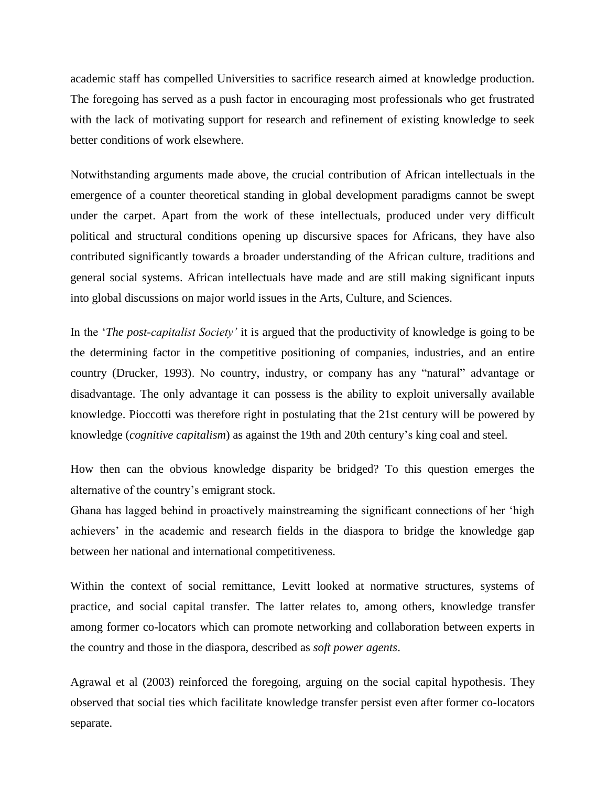academic staff has compelled Universities to sacrifice research aimed at knowledge production. The foregoing has served as a push factor in encouraging most professionals who get frustrated with the lack of motivating support for research and refinement of existing knowledge to seek better conditions of work elsewhere.

Notwithstanding arguments made above, the crucial contribution of African intellectuals in the emergence of a counter theoretical standing in global development paradigms cannot be swept under the carpet. Apart from the work of these intellectuals, produced under very difficult political and structural conditions opening up discursive spaces for Africans, they have also contributed significantly towards a broader understanding of the African culture, traditions and general social systems. African intellectuals have made and are still making significant inputs into global discussions on major world issues in the Arts, Culture, and Sciences.

In the '*The post-capitalist Society'* it is argued that the productivity of knowledge is going to be the determining factor in the competitive positioning of companies, industries, and an entire country (Drucker, 1993). No country, industry, or company has any "natural" advantage or disadvantage. The only advantage it can possess is the ability to exploit universally available knowledge. Pioccotti was therefore right in postulating that the 21st century will be powered by knowledge (*cognitive capitalism*) as against the 19th and 20th century's king coal and steel.

How then can the obvious knowledge disparity be bridged? To this question emerges the alternative of the country's emigrant stock.

Ghana has lagged behind in proactively mainstreaming the significant connections of her 'high achievers' in the academic and research fields in the diaspora to bridge the knowledge gap between her national and international competitiveness.

Within the context of social remittance, Levitt looked at normative structures, systems of practice, and social capital transfer. The latter relates to, among others, knowledge transfer among former co-locators which can promote networking and collaboration between experts in the country and those in the diaspora, described as *soft power agents*.

Agrawal et al (2003) reinforced the foregoing, arguing on the social capital hypothesis. They observed that social ties which facilitate knowledge transfer persist even after former co-locators separate.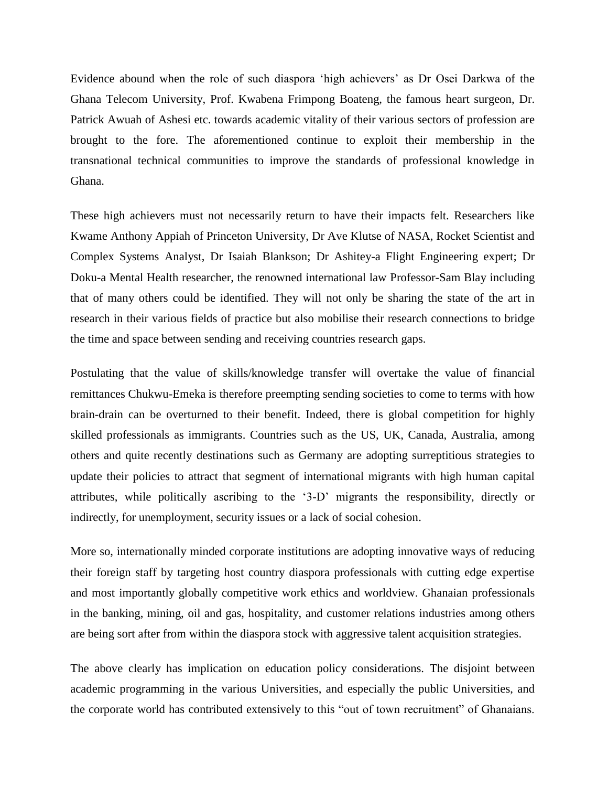Evidence abound when the role of such diaspora 'high achievers' as Dr Osei Darkwa of the Ghana Telecom University, Prof. Kwabena Frimpong Boateng, the famous heart surgeon, Dr. Patrick Awuah of Ashesi etc. towards academic vitality of their various sectors of profession are brought to the fore. The aforementioned continue to exploit their membership in the transnational technical communities to improve the standards of professional knowledge in Ghana.

These high achievers must not necessarily return to have their impacts felt. Researchers like Kwame Anthony Appiah of Princeton University, Dr Ave Klutse of NASA, Rocket Scientist and Complex Systems Analyst, Dr Isaiah Blankson; Dr Ashitey-a Flight Engineering expert; Dr Doku-a Mental Health researcher, the renowned international law Professor-Sam Blay including that of many others could be identified. They will not only be sharing the state of the art in research in their various fields of practice but also mobilise their research connections to bridge the time and space between sending and receiving countries research gaps.

Postulating that the value of skills/knowledge transfer will overtake the value of financial remittances Chukwu-Emeka is therefore preempting sending societies to come to terms with how brain-drain can be overturned to their benefit. Indeed, there is global competition for highly skilled professionals as immigrants. Countries such as the US, UK, Canada, Australia, among others and quite recently destinations such as Germany are adopting surreptitious strategies to update their policies to attract that segment of international migrants with high human capital attributes, while politically ascribing to the '3-D' migrants the responsibility, directly or indirectly, for unemployment, security issues or a lack of social cohesion.

More so, internationally minded corporate institutions are adopting innovative ways of reducing their foreign staff by targeting host country diaspora professionals with cutting edge expertise and most importantly globally competitive work ethics and worldview. Ghanaian professionals in the banking, mining, oil and gas, hospitality, and customer relations industries among others are being sort after from within the diaspora stock with aggressive talent acquisition strategies.

The above clearly has implication on education policy considerations. The disjoint between academic programming in the various Universities, and especially the public Universities, and the corporate world has contributed extensively to this "out of town recruitment" of Ghanaians.